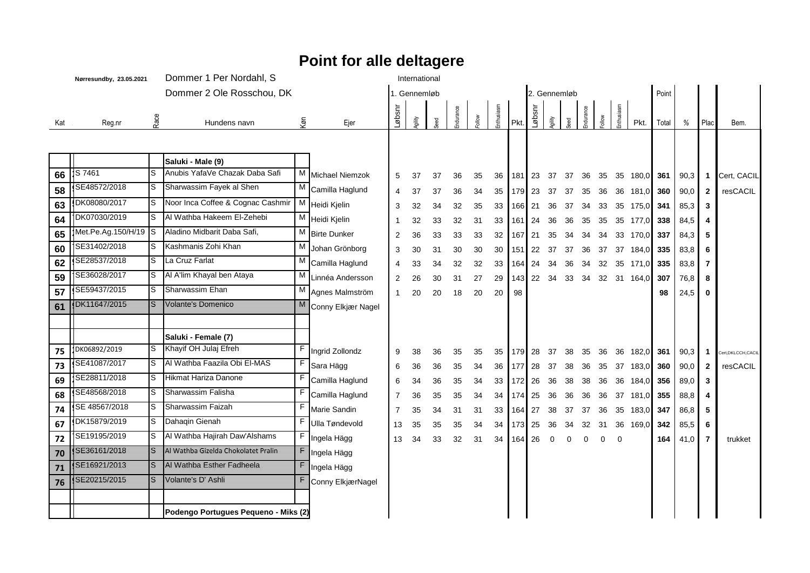## **Nørresundby, 23.05.2021** Dommer 1 Per Nordahl, S International Dommer 2 Ole Rosschou, DK 1. Gennemløb 1. Gennemløb 2. Gennemløb 1. Gennemløb 1. Gennemløb 1. Gennemløb 1. Gennemløb 1. Gennemløb 1. Gennemløb 1. Gennemløb 1. Gennemløb 1. Gennemløb 1. Gennemløb 1. Gennemløb 1. Gennemløb 1 Kat Reg.nr Race Hundens navn Køn Ejer Løbsnr gility Seed Endurance *Follow* Enthusiasm Pkt. Løbsnr  $\frac{2}{3}$ Seed Endurance  $\sum_{i=1}^{\infty}$ Enthusiasm Pkt. Total % Plac Bem. **Saluki - Male (9)**  $66$   $|$ <sup>S 7461</sup> SE48572/2018 S 7461 S Anubis YafaVe Chazak Daba Safi M Michael Niemzok 5 37 37 36 35 36 181 23 37 37 36 35 35 180,0 **361** 90,3 **1** Cert, CACIL **58** 9 DK08080/2017 SE48572/2018 <sup>S</sup> Sharwassim Fayek al Shen <sup>M</sup> Camilla Haglund <sup>4</sup> <sup>37</sup> <sup>37</sup> <sup>36</sup> <sup>34</sup> <sup>35</sup> <sup>179</sup> <sup>23</sup> <sup>37</sup> <sup>37</sup> <sup>35</sup> <sup>36</sup> <sup>36</sup> 181,0 **<sup>360</sup>** 90,0 **<sup>2</sup>** resCACIL **63** 5 DK07030/2019 DK08080/2017 S Noor Inca Coffee & Cognac Cashmir M Heidi Kjelin 3 32 34 32 35 33 166 21 36 37 34 33 35 175,0 **341** 85,3 **3 64** 7 Met.Pe.Ag.150/H/19 DK07030/2019 S Al Wathba Hakeem El-Zehebi M Heidi Kjelin 1 32 33 32 31 33 161 24 36 36 35 35 35 177,0 **338** 84,5 **4 65** 2 SE31402/2018 Met.Pe.Ag.150/H/19 S Aladino Midbarit Daba Safi, M Birte Dunker 2 36 33 33 33 32 167 21 35 34 34 34 33 170,0 **337** 84,3 **5 60** 7 SE28537/2018 SE31402/2018 S Kashmanis Zohi Khan M Johan Grönborg 3 30 31 30 30 30 151 22 37 37 36 37 37 184,0 **335** 83,8 **6 62** 9 SE36028/2017 SE28537/2018 S La Cruz Farlat M Camilla Haglund 4 33 34 32 32 33 164 24 34 36 34 32 35 171,0 **335** 83,8 **7 59** 7 SE59437/2015 SE36028/2017 S Al A'lim Khayal ben Ataya M Linnéa Andersson 2 26 30 31 27 29 143 22 34 33 34 32 31 164,0 **307** 76,8 **8 57** 9 DK11647/2015 SE59437/2015 S Sharwassim Ehan M Agnes Malmström 1 20 20 18 20 20 98 **188 1991 1 20 198 124,5** 0 **61** 9  $\mathsf T$ S Volante's Domenico M Conny Elkjær Nagel **Saluki - Female (7) 75** PK06892/2019 SE41087/2017 DK06892/2019 S Khayif OH Julaj Efreh F Ingrid Zollondz 9 38 36 35 35 35 179 28 37 38 35 36 36 182,0 **361** 90,3 **1** Cert,DKLCCH,CACIL **73** 9 SE28811/2018 SE41087/2017 S Al Wathba Faazila Obi El-MAS F Sara Hägg = 6 36 36 35 34 36 177 28 37 38 36 35 37 183,0 360 90,0 2 **69** 2 SE48568/2018 SE28811/2018 S Hikmat Hariza Danone F Camilla Haglund 6 34 36 35 34 33 172 26 36 38 38 36 36 184,0 **356** 89,0 **3 68** 9 SE 48567/2018 SE48568/2018 S Sharwassim Falisha F Camilla Haglund 7 36 35 35 34 34 174 25 36 36 36 36 37 181,0 **355** 88,8 **4 74** 9 DK15879/2019 SE 48567/2018 S Sharwassim Faizah **F Marie Sandin 17 35 34 31 31 33 164 27 38 37 37 36 35 183,0 347 86,8 5 67** 9 SE19195/2019 DK15879/2019 S Dahaqin Gienah F Ulla Tøndevold 13 35 35 35 34 34 173 25 36 34 32 31 36 169,0 **342** 85,5 **6 72** 7 SE36161/2018 SE19195/2019 S Al Wathba Hajirah Daw'Alshams F Ingela Hägg 13 34 33 32 31 34 164 26 0 0 0 0 0 **164** 41,0 **7** trukket **70** 9 SE16921/2013 S Al Wathba Gizelda Chokolatet Pralin F | F | Ingela Hägg **71** 9 SE20215/2015 S | Al Wathba Esther Fadheela | F | Ingela Hägg **76** 9  $\mathsf T$ Volante's D'Ashli F Conny ElkjærNagel **Podengo Portugues Pequeno - Miks (2) Point for alle deltagere**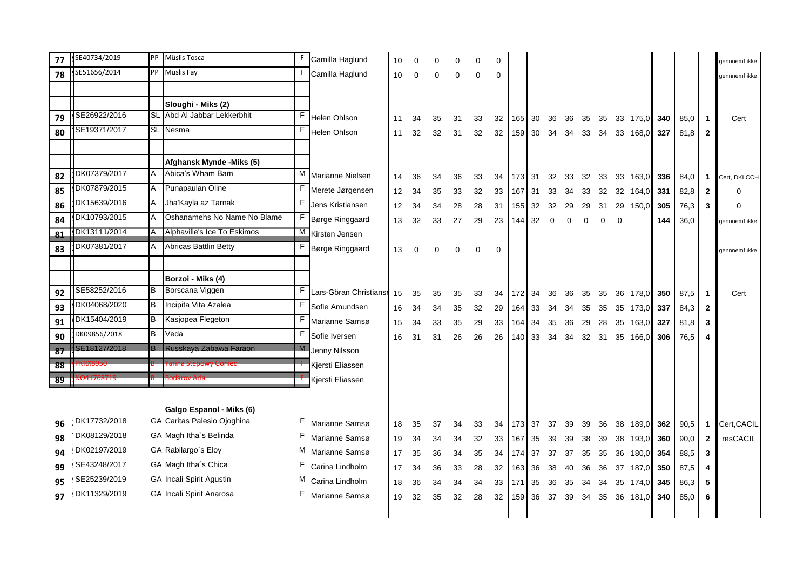| 77 | SE40734/2019     |     | PP Müslis Tosca                 | F  | Camilla Haglund        | 10 | $\Omega$ |          |          | 0  |          |        |    |             |     |       |    |                |          |     |      |              | gennnemf ikke |
|----|------------------|-----|---------------------------------|----|------------------------|----|----------|----------|----------|----|----------|--------|----|-------------|-----|-------|----|----------------|----------|-----|------|--------------|---------------|
| 78 | SE51656/2014     |     | PP Müslis Fay                   | F  | Camilla Haglund        | 10 | 0        | $\Omega$ | $\Omega$ | 0  | $\Omega$ |        |    |             |     |       |    |                |          |     |      |              | gennnemf ikke |
|    |                  |     |                                 |    |                        |    |          |          |          |    |          |        |    |             |     |       |    |                |          |     |      |              |               |
|    |                  |     | Sloughi - Miks (2)              |    |                        |    |          |          |          |    |          |        |    |             |     |       |    |                |          |     |      |              |               |
| 79 | SE26922/2016     |     | SL Abd Al Jabbar Lekkerbhit     | F  | <b>Helen Ohlson</b>    | 11 | 34       | 35       | 31       | 33 | 32       | 165    | 30 | 36          | 36  | 35    | 35 |                | 33 175,0 | 340 | 85,0 | $\mathbf{1}$ | Cert          |
| 80 | SE19371/2017     |     | <b>SL</b> Nesma                 | F  | Helen Ohlson           | 11 | 32       | 32       | 31       | 32 | 32       | 159    | 30 | 34          | -34 | 33 34 |    |                | 33 168,0 | 327 | 81,8 | $\mathbf{2}$ |               |
|    |                  |     |                                 |    |                        |    |          |          |          |    |          |        |    |             |     |       |    |                |          |     |      |              |               |
|    |                  |     | Afghansk Mynde - Miks (5)       |    |                        |    |          |          |          |    |          |        |    |             |     |       |    |                |          |     |      |              |               |
| 82 | DK07379/2017     | A   | Abica's Wham Bam                |    | M Marianne Nielsen     | 14 | 36       | 34       | 36       | 33 | 34       | 173 31 |    | 32          | 33  | 32    | 33 |                | 33 163,0 | 336 | 84,0 | -1           | Cert, DKLCCH  |
| 85 | DK07879/2015     | A   | Punapaulan Oline                | F  | Merete Jørgensen       | 12 | 34       | 35       | 33       | 32 | 33       | 167    | 31 | 33          | 34  | 33    | 32 |                | 32 164,0 | 331 | 82,8 | $\mathbf{2}$ | $\Omega$      |
| 86 | DK15639/2016     | A   | Jha'Kayla az Tarnak             | F  | Jens Kristiansen       | 12 | 34       | 34       | 28       | 28 | 31       | 155    | 32 | 32          | 29  | 29    | 31 |                | 29 150,0 | 305 | 76,3 | 3            | O             |
| 84 | DK10793/2015     | A   | Oshanamehs No Name No Blame     | F  | Børge Ringgaard        | 13 | 32       | 33       | 27       | 29 | 23       | 144    | 32 | $\mathbf 0$ | 0   | 0     | 0  | $\overline{0}$ |          | 144 | 36,0 |              | gennnemf ikke |
| 81 | DK13111/2014     |     | A Alphaville's Ice To Eskimos   |    | Kirsten Jensen         |    |          |          |          |    |          |        |    |             |     |       |    |                |          |     |      |              |               |
| 83 | DK07381/2017     |     | A Abricas Battlin Betty         | F  | Børge Ringgaard        | 13 | 0        | $\Omega$ | $\Omega$ | 0  | $\Omega$ |        |    |             |     |       |    |                |          |     |      |              | gennnemf ikke |
|    |                  |     |                                 |    |                        |    |          |          |          |    |          |        |    |             |     |       |    |                |          |     |      |              |               |
|    |                  |     | Borzoi - Miks (4)               |    |                        |    |          |          |          |    |          |        |    |             |     |       |    |                |          |     |      |              |               |
| 92 | SE58252/2016     | IB. | Borscana Viggen                 | F  | Lars-Göran Christianse | 15 | 35       | 35       | 35       | 33 | 34       | 172    | 34 | 36          | 36  | 35    | 35 |                | 36 178,0 | 350 | 87,5 | $\mathbf 1$  | Cert          |
| 93 | DK04068/2020     | IB. | Incipita Vita Azalea            | F  | Sofie Amundsen         | 16 | 34       | 34       | 35       | 32 | 29       | 164    | 33 | -34         | 34  | 35    | 35 |                | 35 173,0 | 337 | 84,3 | $\mathbf{2}$ |               |
| 91 | DK15404/2019     | B   | Kasjopea Flegeton               | F  | Marianne Samsø         | 15 | 34       | 33       | 35       | 29 | 33       | 164    | 34 | 35          | 36  | 29    | 28 |                | 35 163,0 | 327 | 81,8 | 3            |               |
| 90 | DK09856/2018     | lB. | Veda                            | F  | Sofie Iversen          | 16 | 31       | 31       | 26       | 26 | 26       | 140    | 33 | 34          | 34  | 32 31 |    |                | 35 166,0 | 306 | 76,5 |              |               |
| 87 | SE18127/2018     |     | B Russkaya Zabawa Faraon        | M  | Jenny Nilsson          |    |          |          |          |    |          |        |    |             |     |       |    |                |          |     |      |              |               |
| 88 | <b>KRX8950</b>   |     | rarina Stepowy Goniec           |    | Kjersti Eliassen       |    |          |          |          |    |          |        |    |             |     |       |    |                |          |     |      |              |               |
| 89 | VO41768719       |     | <b>Bodarov Aria</b>             |    | Kjersti Eliassen       |    |          |          |          |    |          |        |    |             |     |       |    |                |          |     |      |              |               |
|    |                  |     |                                 |    |                        |    |          |          |          |    |          |        |    |             |     |       |    |                |          |     |      |              |               |
|    |                  |     | Galgo Espanol - Miks (6)        |    |                        |    |          |          |          |    |          |        |    |             |     |       |    |                |          |     |      |              |               |
| 96 | DK17732/2018     |     | GA Caritas Palesio Ojoghina     | F  | Marianne Samsø         | 18 | 35       | 37       | 34       | 33 | 34       | 173    | 37 | 37          | 39  | 39    | 36 |                | 38 189,0 | 362 | 90,5 | $\mathbf{1}$ | Cert, CACIL   |
| 98 | DK08129/2018     |     | GA Magh Itha's Belinda          |    | Marianne Samsø         | 19 | 34       | 34       | 34       | 32 | 33       | 167    | 35 | 39          | 39  | 38    | 39 |                | 38 193,0 | 360 | 90,0 | $\mathbf{2}$ | resCACIL      |
| 94 | DK02197/2019     |     | GA Rabilargo's Eloy             |    | M Marianne Samsø       | 17 | 35       | 36       | 34       | 35 | 34       | 174    | 37 | 37          | 37  | 35    | 35 | 36             | 180,0    | 354 | 88,5 | 3            |               |
| 99 | SE43248/2017     |     | GA Magh Itha's Chica            |    | Carina Lindholm        | 17 | 34       | 36       | 33       | 28 | 32       | 163    | 36 | 38          | 40  | 36    | 36 | 37             | 187,0    | 350 | 87,5 | 4            |               |
| 95 | SE25239/2019     |     | <b>GA Incali Spirit Agustin</b> |    | M Carina Lindholm      | 18 | 36       | 34       | 34       | 34 | 33       | 171    | 35 | 36          | 35  | 34    | 34 |                | 35 174,0 | 345 | 86,3 | 5            |               |
|    | 97 !DK11329/2019 |     | GA Incali Spirit Anarosa        | F. | Marianne Samsø         | 19 | 32       | 35       | 32       | 28 | 32       | 159    | 36 | 37          | 39  | 34 35 |    |                | 36 181,0 | 340 | 85,0 | 6            |               |
|    |                  |     |                                 |    |                        |    |          |          |          |    |          |        |    |             |     |       |    |                |          |     |      |              |               |
|    |                  |     |                                 |    |                        |    |          |          |          |    |          |        |    |             |     |       |    |                |          |     |      |              |               |